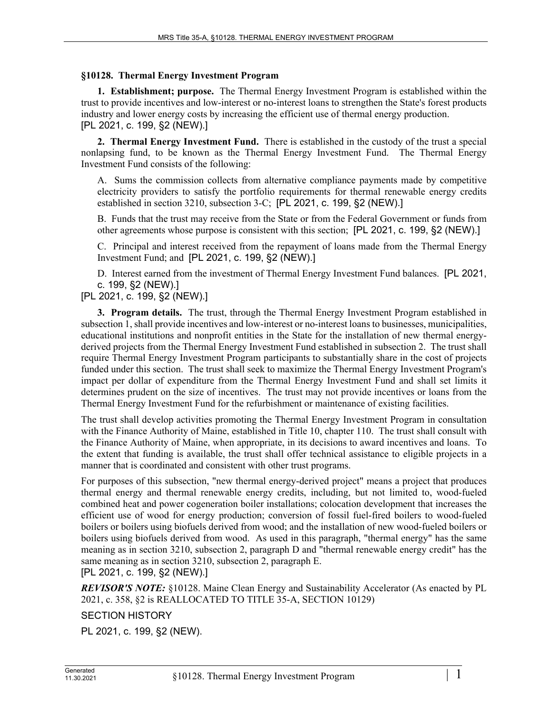## **§10128. Thermal Energy Investment Program**

**1. Establishment; purpose.** The Thermal Energy Investment Program is established within the trust to provide incentives and low-interest or no-interest loans to strengthen the State's forest products industry and lower energy costs by increasing the efficient use of thermal energy production. [PL 2021, c. 199, §2 (NEW).]

**2. Thermal Energy Investment Fund.** There is established in the custody of the trust a special nonlapsing fund, to be known as the Thermal Energy Investment Fund. The Thermal Energy Investment Fund consists of the following:

A. Sums the commission collects from alternative compliance payments made by competitive electricity providers to satisfy the portfolio requirements for thermal renewable energy credits established in section 3210, subsection 3-C; [PL 2021, c. 199, §2 (NEW).]

B. Funds that the trust may receive from the State or from the Federal Government or funds from other agreements whose purpose is consistent with this section; [PL 2021, c. 199, §2 (NEW).]

C. Principal and interest received from the repayment of loans made from the Thermal Energy Investment Fund; and [PL 2021, c. 199, §2 (NEW).]

D. Interest earned from the investment of Thermal Energy Investment Fund balances. [PL 2021, c. 199, §2 (NEW).]

[PL 2021, c. 199, §2 (NEW).]

**3. Program details.** The trust, through the Thermal Energy Investment Program established in subsection 1, shall provide incentives and low-interest or no-interest loans to businesses, municipalities, educational institutions and nonprofit entities in the State for the installation of new thermal energyderived projects from the Thermal Energy Investment Fund established in subsection 2. The trust shall require Thermal Energy Investment Program participants to substantially share in the cost of projects funded under this section. The trust shall seek to maximize the Thermal Energy Investment Program's impact per dollar of expenditure from the Thermal Energy Investment Fund and shall set limits it determines prudent on the size of incentives. The trust may not provide incentives or loans from the Thermal Energy Investment Fund for the refurbishment or maintenance of existing facilities.

The trust shall develop activities promoting the Thermal Energy Investment Program in consultation with the Finance Authority of Maine, established in Title 10, chapter 110. The trust shall consult with the Finance Authority of Maine, when appropriate, in its decisions to award incentives and loans. To the extent that funding is available, the trust shall offer technical assistance to eligible projects in a manner that is coordinated and consistent with other trust programs.

For purposes of this subsection, "new thermal energy-derived project" means a project that produces thermal energy and thermal renewable energy credits, including, but not limited to, wood-fueled combined heat and power cogeneration boiler installations; colocation development that increases the efficient use of wood for energy production; conversion of fossil fuel-fired boilers to wood-fueled boilers or boilers using biofuels derived from wood; and the installation of new wood-fueled boilers or boilers using biofuels derived from wood. As used in this paragraph, "thermal energy" has the same meaning as in section 3210, subsection 2, paragraph D and "thermal renewable energy credit" has the same meaning as in section 3210, subsection 2, paragraph E.

[PL 2021, c. 199, §2 (NEW).]

*REVISOR'S NOTE:* §10128. Maine Clean Energy and Sustainability Accelerator (As enacted by PL 2021, c. 358, §2 is REALLOCATED TO TITLE 35-A, SECTION 10129)

## SECTION HISTORY

PL 2021, c. 199, §2 (NEW).